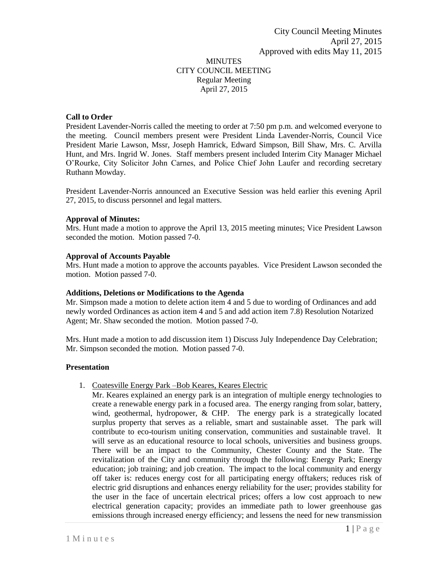# MINUTES CITY COUNCIL MEETING Regular Meeting April 27, 2015

## **Call to Order**

President Lavender-Norris called the meeting to order at 7:50 pm p.m. and welcomed everyone to the meeting. Council members present were President Linda Lavender-Norris, Council Vice President Marie Lawson, Mssr, Joseph Hamrick, Edward Simpson, Bill Shaw, Mrs. C. Arvilla Hunt, and Mrs. Ingrid W. Jones. Staff members present included Interim City Manager Michael O'Rourke, City Solicitor John Carnes, and Police Chief John Laufer and recording secretary Ruthann Mowday.

President Lavender-Norris announced an Executive Session was held earlier this evening April 27, 2015, to discuss personnel and legal matters.

## **Approval of Minutes:**

Mrs. Hunt made a motion to approve the April 13, 2015 meeting minutes; Vice President Lawson seconded the motion. Motion passed 7-0.

## **Approval of Accounts Payable**

Mrs. Hunt made a motion to approve the accounts payables. Vice President Lawson seconded the motion. Motion passed 7-0.

## **Additions, Deletions or Modifications to the Agenda**

Mr. Simpson made a motion to delete action item 4 and 5 due to wording of Ordinances and add newly worded Ordinances as action item 4 and 5 and add action item 7.8) Resolution Notarized Agent; Mr. Shaw seconded the motion. Motion passed 7-0.

Mrs. Hunt made a motion to add discussion item 1) Discuss July Independence Day Celebration; Mr. Simpson seconded the motion. Motion passed 7-0.

# **Presentation**

# 1. Coatesville Energy Park –Bob Keares, Keares Electric

Mr. Keares explained an energy park is an integration of multiple energy technologies to create a renewable energy park in a focused area. The energy ranging from solar, battery, wind, geothermal, hydropower, & CHP. The energy park is a strategically located surplus property that serves as a reliable, smart and sustainable asset. The park will contribute to eco-tourism uniting conservation, communities and sustainable travel. It will serve as an educational resource to local schools, universities and business groups. There will be an impact to the Community, Chester County and the State. The revitalization of the City and community through the following: Energy Park; Energy education; job training; and job creation. The impact to the local community and energy off taker is: reduces energy cost for all participating energy offtakers; reduces risk of electric grid disruptions and enhances energy reliability for the user; provides stability for the user in the face of uncertain electrical prices; offers a low cost approach to new electrical generation capacity; provides an immediate path to lower greenhouse gas emissions through increased energy efficiency; and lessens the need for new transmission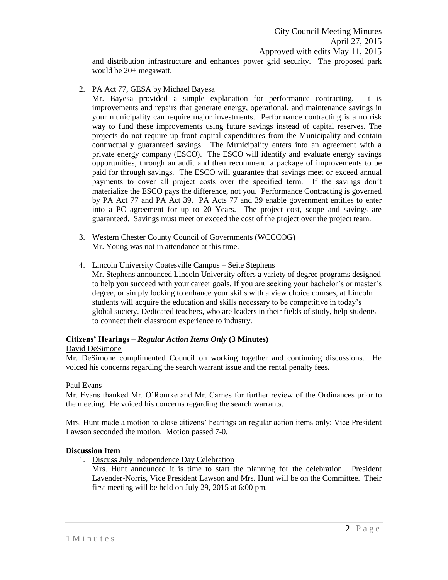City Council Meeting Minutes April 27, 2015 Approved with edits May 11, 2015

and distribution infrastructure and enhances power grid security. The proposed park would be 20+ megawatt.

2. PA Act 77, GESA by Michael Bayesa

Mr. Bayesa provided a simple explanation for performance contracting. It is improvements and repairs that generate energy, operational, and maintenance savings in your municipality can require major investments. Performance contracting is a no risk way to fund these improvements using future savings instead of capital reserves. The projects do not require up front capital expenditures from the Municipality and contain contractually guaranteed savings. The Municipality enters into an agreement with a private energy company (ESCO). The ESCO will identify and evaluate energy savings opportunities, through an audit and then recommend a package of improvements to be paid for through savings. The ESCO will guarantee that savings meet or exceed annual payments to cover all project costs over the specified term. If the savings don't materialize the ESCO pays the difference, not you. Performance Contracting is governed by PA Act 77 and PA Act 39. PA Acts 77 and 39 enable government entities to enter into a PC agreement for up to 20 Years. The project cost, scope and savings are guaranteed. Savings must meet or exceed the cost of the project over the project team.

- 3. Western Chester County Council of Governments (WCCCOG) Mr. Young was not in attendance at this time.
- 4. Lincoln University Coatesville Campus Seite Stephens Mr. Stephens announced Lincoln University offers a variety of degree programs designed to help you succeed with your career goals. If you are seeking your bachelor's or master's degree, or simply looking to enhance your skills with a view choice courses, at Lincoln students will acquire the education and skills necessary to be competitive in today's global society. Dedicated teachers, who are leaders in their fields of study, help students to connect their classroom experience to industry.

#### **Citizens' Hearings –** *Regular Action Items Only* **(3 Minutes)** David DeSimone

Mr. DeSimone complimented Council on working together and continuing discussions. He voiced his concerns regarding the search warrant issue and the rental penalty fees.

# Paul Evans

Mr. Evans thanked Mr. O'Rourke and Mr. Carnes for further review of the Ordinances prior to the meeting. He voiced his concerns regarding the search warrants.

Mrs. Hunt made a motion to close citizens' hearings on regular action items only; Vice President Lawson seconded the motion. Motion passed 7-0.

## **Discussion Item**

1. Discuss July Independence Day Celebration

Mrs. Hunt announced it is time to start the planning for the celebration. President Lavender-Norris, Vice President Lawson and Mrs. Hunt will be on the Committee. Their first meeting will be held on July 29, 2015 at 6:00 pm.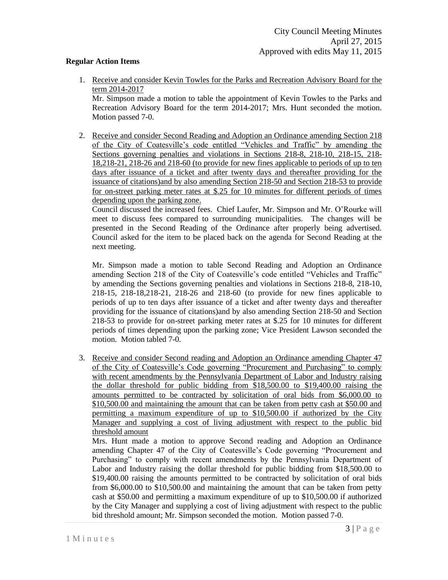### **Regular Action Items**

1. Receive and consider Kevin Towles for the Parks and Recreation Advisory Board for the term 2014-2017

Mr. Simpson made a motion to table the appointment of Kevin Towles to the Parks and Recreation Advisory Board for the term 2014-2017; Mrs. Hunt seconded the motion. Motion passed 7-0.

2. Receive and consider Second Reading and Adoption an Ordinance amending Section 218 of the City of Coatesville's code entitled "Vehicles and Traffic" by amending the Sections governing penalties and violations in Sections 218-8, 218-10, 218-15, 218- 18,218-21, 218-26 and 218-60 (to provide for new fines applicable to periods of up to ten days after issuance of a ticket and after twenty days and thereafter providing for the issuance of citations)and by also amending Section 218-50 and Section 218-53 to provide for on-street parking meter rates at \$.25 for 10 minutes for different periods of times depending upon the parking zone.

Council discussed the increased fees. Chief Laufer, Mr. Simpson and Mr. O'Rourke will meet to discuss fees compared to surrounding municipalities. The changes will be presented in the Second Reading of the Ordinance after properly being advertised. Council asked for the item to be placed back on the agenda for Second Reading at the next meeting.

Mr. Simpson made a motion to table Second Reading and Adoption an Ordinance amending Section 218 of the City of Coatesville's code entitled "Vehicles and Traffic" by amending the Sections governing penalties and violations in Sections 218-8, 218-10, 218-15, 218-18,218-21, 218-26 and 218-60 (to provide for new fines applicable to periods of up to ten days after issuance of a ticket and after twenty days and thereafter providing for the issuance of citations)and by also amending Section 218-50 and Section 218-53 to provide for on-street parking meter rates at \$.25 for 10 minutes for different periods of times depending upon the parking zone; Vice President Lawson seconded the motion. Motion tabled 7-0.

3. Receive and consider Second reading and Adoption an Ordinance amending Chapter 47 of the City of Coatesville's Code governing "Procurement and Purchasing" to comply with recent amendments by the Pennsylvania Department of Labor and Industry raising the dollar threshold for public bidding from \$18,500.00 to \$19,400.00 raising the amounts permitted to be contracted by solicitation of oral bids from \$6,000.00 to \$10,500.00 and maintaining the amount that can be taken from petty cash at \$50.00 and permitting a maximum expenditure of up to \$10,500.00 if authorized by the City Manager and supplying a cost of living adjustment with respect to the public bid threshold amount

Mrs. Hunt made a motion to approve Second reading and Adoption an Ordinance amending Chapter 47 of the City of Coatesville's Code governing "Procurement and Purchasing" to comply with recent amendments by the Pennsylvania Department of Labor and Industry raising the dollar threshold for public bidding from \$18,500.00 to \$19,400.00 raising the amounts permitted to be contracted by solicitation of oral bids from \$6,000.00 to \$10,500.00 and maintaining the amount that can be taken from petty cash at \$50.00 and permitting a maximum expenditure of up to \$10,500.00 if authorized by the City Manager and supplying a cost of living adjustment with respect to the public bid threshold amount; Mr. Simpson seconded the motion. Motion passed 7-0.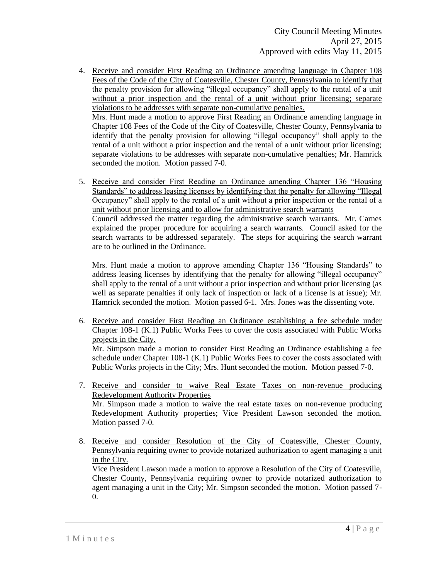- 4. Receive and consider First Reading an Ordinance amending language in Chapter 108 Fees of the Code of the City of Coatesville, Chester County, Pennsylvania to identify that the penalty provision for allowing "illegal occupancy" shall apply to the rental of a unit without a prior inspection and the rental of a unit without prior licensing; separate violations to be addresses with separate non-cumulative penalties. Mrs. Hunt made a motion to approve First Reading an Ordinance amending language in Chapter 108 Fees of the Code of the City of Coatesville, Chester County, Pennsylvania to identify that the penalty provision for allowing "illegal occupancy" shall apply to the rental of a unit without a prior inspection and the rental of a unit without prior licensing; separate violations to be addresses with separate non-cumulative penalties; Mr. Hamrick
- 5. Receive and consider First Reading an Ordinance amending Chapter 136 "Housing Standards" to address leasing licenses by identifying that the penalty for allowing "Illegal Occupancy" shall apply to the rental of a unit without a prior inspection or the rental of a unit without prior licensing and to allow for administrative search warrants Council addressed the matter regarding the administrative search warrants. Mr. Carnes explained the proper procedure for acquiring a search warrants. Council asked for the search warrants to be addressed separately. The steps for acquiring the search warrant are to be outlined in the Ordinance.

seconded the motion. Motion passed 7-0.

Mrs. Hunt made a motion to approve amending Chapter 136 "Housing Standards" to address leasing licenses by identifying that the penalty for allowing "illegal occupancy" shall apply to the rental of a unit without a prior inspection and without prior licensing (as well as separate penalties if only lack of inspection or lack of a license is at issue); Mr. Hamrick seconded the motion. Motion passed 6-1. Mrs. Jones was the dissenting vote.

6. Receive and consider First Reading an Ordinance establishing a fee schedule under Chapter 108-1 (K.1) Public Works Fees to cover the costs associated with Public Works projects in the City. Mr. Simpson made a motion to consider First Reading an Ordinance establishing a fee

schedule under Chapter 108-1 (K.1) Public Works Fees to cover the costs associated with Public Works projects in the City; Mrs. Hunt seconded the motion. Motion passed 7-0.

- 7. Receive and consider to waive Real Estate Taxes on non-revenue producing Redevelopment Authority Properties Mr. Simpson made a motion to waive the real estate taxes on non-revenue producing Redevelopment Authority properties; Vice President Lawson seconded the motion. Motion passed 7-0.
- 8. Receive and consider Resolution of the City of Coatesville, Chester County, Pennsylvania requiring owner to provide notarized authorization to agent managing a unit in the City.

Vice President Lawson made a motion to approve a Resolution of the City of Coatesville, Chester County, Pennsylvania requiring owner to provide notarized authorization to agent managing a unit in the City; Mr. Simpson seconded the motion. Motion passed 7- 0.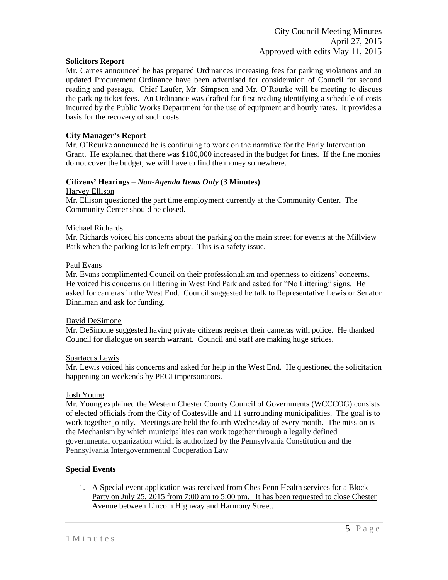#### **Solicitors Report**

Mr. Carnes announced he has prepared Ordinances increasing fees for parking violations and an updated Procurement Ordinance have been advertised for consideration of Council for second reading and passage. Chief Laufer, Mr. Simpson and Mr. O'Rourke will be meeting to discuss the parking ticket fees. An Ordinance was drafted for first reading identifying a schedule of costs incurred by the Public Works Department for the use of equipment and hourly rates. It provides a basis for the recovery of such costs.

### **City Manager's Report**

Mr. O'Rourke announced he is continuing to work on the narrative for the Early Intervention Grant. He explained that there was \$100,000 increased in the budget for fines. If the fine monies do not cover the budget, we will have to find the money somewhere.

### **Citizens' Hearings –** *Non-Agenda Items Only* **(3 Minutes)**

#### Harvey Ellison

Mr. Ellison questioned the part time employment currently at the Community Center. The Community Center should be closed.

#### Michael Richards

Mr. Richards voiced his concerns about the parking on the main street for events at the Millview Park when the parking lot is left empty. This is a safety issue.

#### Paul Evans

Mr. Evans complimented Council on their professionalism and openness to citizens' concerns. He voiced his concerns on littering in West End Park and asked for "No Littering" signs. He asked for cameras in the West End. Council suggested he talk to Representative Lewis or Senator Dinniman and ask for funding.

#### David DeSimone

Mr. DeSimone suggested having private citizens register their cameras with police. He thanked Council for dialogue on search warrant. Council and staff are making huge strides.

#### Spartacus Lewis

Mr. Lewis voiced his concerns and asked for help in the West End. He questioned the solicitation happening on weekends by PECI impersonators.

#### Josh Young

Mr. Young explained the Western Chester County Council of Governments (WCCCOG) consists of elected officials from the City of Coatesville and 11 surrounding municipalities. The goal is to work together jointly. Meetings are held the fourth Wednesday of every month. The mission is the Mechanism by which municipalities can work together through a legally defined governmental organization which is authorized by the Pennsylvania Constitution and the Pennsylvania Intergovernmental Cooperation Law

## **Special Events**

1. A Special event application was received from Ches Penn Health services for a Block Party on July 25, 2015 from 7:00 am to 5:00 pm. It has been requested to close Chester Avenue between Lincoln Highway and Harmony Street.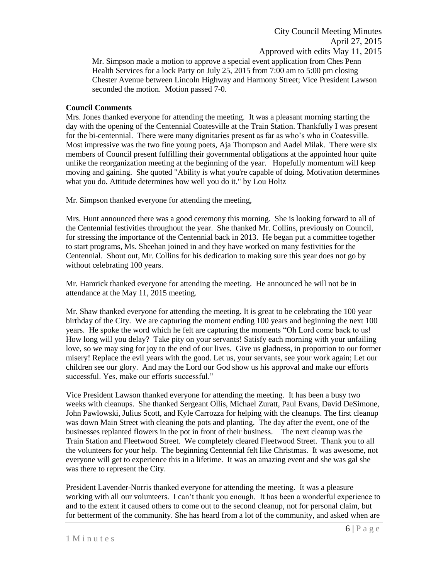City Council Meeting Minutes April 27, 2015 Approved with edits May 11, 2015 Mr. Simpson made a motion to approve a special event application from Ches Penn Health Services for a lock Party on July 25, 2015 from 7:00 am to 5:00 pm closing Chester Avenue between Lincoln Highway and Harmony Street; Vice President Lawson seconded the motion. Motion passed 7-0.

### **Council Comments**

Mrs. Jones thanked everyone for attending the meeting. It was a pleasant morning starting the day with the opening of the Centennial Coatesville at the Train Station. Thankfully I was present for the bi-centennial. There were many dignitaries present as far as who's who in Coatesville. Most impressive was the two fine young poets, Aja Thompson and Aadel Milak. There were six members of Council present fulfilling their governmental obligations at the appointed hour quite unlike the reorganization meeting at the beginning of the year. Hopefully momentum will keep moving and gaining. She quoted "Ability is what you're capable of doing. Motivation determines what you do. Attitude determines how well you do it." by Lou Holtz

Mr. Simpson thanked everyone for attending the meeting,

Mrs. Hunt announced there was a good ceremony this morning. She is looking forward to all of the Centennial festivities throughout the year. She thanked Mr. Collins, previously on Council, for stressing the importance of the Centennial back in 2013. He began put a committee together to start programs, Ms. Sheehan joined in and they have worked on many festivities for the Centennial. Shout out, Mr. Collins for his dedication to making sure this year does not go by without celebrating 100 years.

Mr. Hamrick thanked everyone for attending the meeting. He announced he will not be in attendance at the May 11, 2015 meeting.

Mr. Shaw thanked everyone for attending the meeting. It is great to be celebrating the 100 year birthday of the City. We are capturing the moment ending 100 years and beginning the next 100 years. He spoke the word which he felt are capturing the moments "Oh Lord come back to us! How long will you delay? Take pity on your servants! Satisfy each morning with your unfailing love, so we may sing for joy to the end of our lives. Give us gladness, in proportion to our former misery! Replace the evil years with the good. Let us, your servants, see your work again; Let our children see our glory. And may the Lord our God show us his approval and make our efforts successful. Yes, make our efforts successful."

Vice President Lawson thanked everyone for attending the meeting. It has been a busy two weeks with cleanups. She thanked Sergeant Ollis, Michael Zuratt, Paul Evans, David DeSimone, John Pawlowski, Julius Scott, and Kyle Carrozza for helping with the cleanups. The first cleanup was down Main Street with cleaning the pots and planting. The day after the event, one of the businesses replanted flowers in the pot in front of their business. The next cleanup was the Train Station and Fleetwood Street. We completely cleared Fleetwood Street. Thank you to all the volunteers for your help. The beginning Centennial felt like Christmas. It was awesome, not everyone will get to experience this in a lifetime. It was an amazing event and she was gal she was there to represent the City.

President Lavender-Norris thanked everyone for attending the meeting. It was a pleasure working with all our volunteers. I can't thank you enough. It has been a wonderful experience to and to the extent it caused others to come out to the second cleanup, not for personal claim, but for betterment of the community. She has heard from a lot of the community, and asked when are